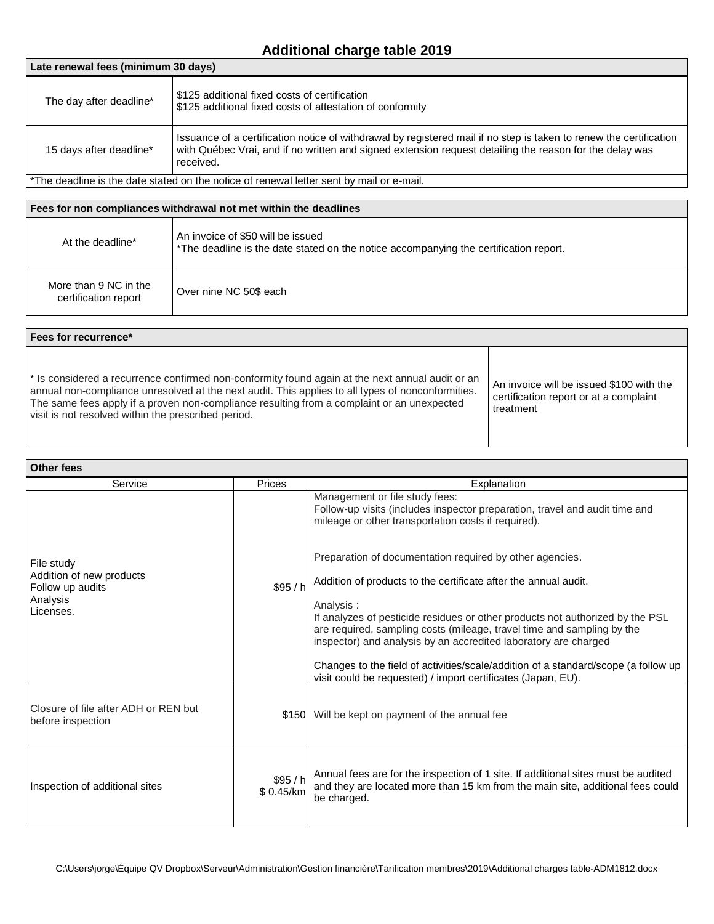## **Additional charge table 2019**

| Late renewal fees (minimum 30 days)                                                     |                                                                                                                                                                                                                                            |  |  |  |
|-----------------------------------------------------------------------------------------|--------------------------------------------------------------------------------------------------------------------------------------------------------------------------------------------------------------------------------------------|--|--|--|
| The day after deadline*                                                                 | l \$125 additional fixed costs of certification<br>\$125 additional fixed costs of attestation of conformity                                                                                                                               |  |  |  |
| 15 days after deadline*                                                                 | Issuance of a certification notice of withdrawal by registered mail if no step is taken to renew the certification<br>with Québec Vrai, and if no written and signed extension request detailing the reason for the delay was<br>received. |  |  |  |
| the desiling is the date stated on the notice of renewal letter sent by mail or e-mail" |                                                                                                                                                                                                                                            |  |  |  |

## \*The deadline is the date stated on the notice of renewal letter sent by mail or e-mail.

| Fees for non compliances withdrawal not met within the deadlines |                                                                                                                            |  |  |
|------------------------------------------------------------------|----------------------------------------------------------------------------------------------------------------------------|--|--|
| At the deadline*                                                 | An invoice of \$50 will be issued<br>*The deadline is the date stated on the notice accompanying the certification report. |  |  |
| More than 9 NC in the<br>certification report                    | Over nine NC 50\$ each                                                                                                     |  |  |

## **Fees for recurrence\***

\* Is considered a recurrence confirmed non-conformity found again at the next annual audit or an annual non-compliance unresolved at the next audit. This applies to all types of nonconformities. The same fees apply if a proven non-compliance resulting from a complaint or an unexpected visit is not resolved within the prescribed period.

An invoice will be issued \$100 with the certification report or at a complaint treatment

| Other fees                                                |                     |                                                                                                                                                                                                                                         |  |  |
|-----------------------------------------------------------|---------------------|-----------------------------------------------------------------------------------------------------------------------------------------------------------------------------------------------------------------------------------------|--|--|
| Service                                                   | Prices              | Explanation                                                                                                                                                                                                                             |  |  |
|                                                           | \$95/h              | Management or file study fees:<br>Follow-up visits (includes inspector preparation, travel and audit time and<br>mileage or other transportation costs if required).                                                                    |  |  |
| File study                                                |                     | Preparation of documentation required by other agencies.                                                                                                                                                                                |  |  |
| Addition of new products<br>Follow up audits              |                     | Addition of products to the certificate after the annual audit.                                                                                                                                                                         |  |  |
| Analysis<br>Licenses.                                     |                     | Analysis:<br>If analyzes of pesticide residues or other products not authorized by the PSL<br>are required, sampling costs (mileage, travel time and sampling by the<br>inspector) and analysis by an accredited laboratory are charged |  |  |
|                                                           |                     | Changes to the field of activities/scale/addition of a standard/scope (a follow up<br>visit could be requested) / import certificates (Japan, EU).                                                                                      |  |  |
| Closure of file after ADH or REN but<br>before inspection | \$150               | Will be kept on payment of the annual fee                                                                                                                                                                                               |  |  |
| Inspection of additional sites                            | \$95/h<br>\$0.45/km | Annual fees are for the inspection of 1 site. If additional sites must be audited<br>and they are located more than 15 km from the main site, additional fees could<br>be charged.                                                      |  |  |